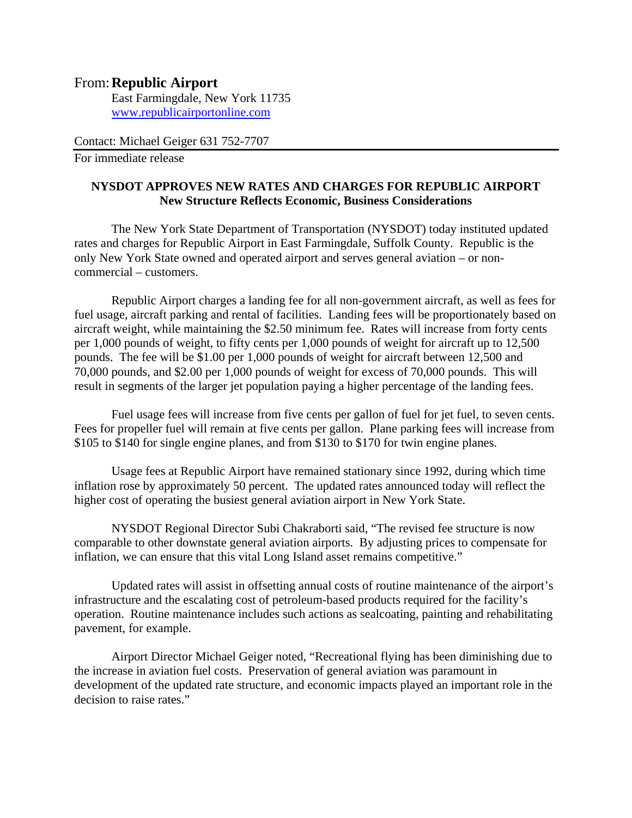## From: **Republic Airport**

East Farmingdale, New York 11735 www.republicairportonline.com

Contact: Michael Geiger 631 752-7707

For immediate release

## **NYSDOT APPROVES NEW RATES AND CHARGES FOR REPUBLIC AIRPORT New Structure Reflects Economic, Business Considerations**

 The New York State Department of Transportation (NYSDOT) today instituted updated rates and charges for Republic Airport in East Farmingdale, Suffolk County. Republic is the only New York State owned and operated airport and serves general aviation – or noncommercial – customers.

 Republic Airport charges a landing fee for all non-government aircraft, as well as fees for fuel usage, aircraft parking and rental of facilities. Landing fees will be proportionately based on aircraft weight, while maintaining the \$2.50 minimum fee. Rates will increase from forty cents per 1,000 pounds of weight, to fifty cents per 1,000 pounds of weight for aircraft up to 12,500 pounds. The fee will be \$1.00 per 1,000 pounds of weight for aircraft between 12,500 and 70,000 pounds, and \$2.00 per 1,000 pounds of weight for excess of 70,000 pounds. This will result in segments of the larger jet population paying a higher percentage of the landing fees.

 Fuel usage fees will increase from five cents per gallon of fuel for jet fuel, to seven cents. Fees for propeller fuel will remain at five cents per gallon. Plane parking fees will increase from \$105 to \$140 for single engine planes, and from \$130 to \$170 for twin engine planes.

 Usage fees at Republic Airport have remained stationary since 1992, during which time inflation rose by approximately 50 percent. The updated rates announced today will reflect the higher cost of operating the busiest general aviation airport in New York State.

 NYSDOT Regional Director Subi Chakraborti said, "The revised fee structure is now comparable to other downstate general aviation airports. By adjusting prices to compensate for inflation, we can ensure that this vital Long Island asset remains competitive."

 Updated rates will assist in offsetting annual costs of routine maintenance of the airport's infrastructure and the escalating cost of petroleum-based products required for the facility's operation. Routine maintenance includes such actions as sealcoating, painting and rehabilitating pavement, for example.

 Airport Director Michael Geiger noted, "Recreational flying has been diminishing due to the increase in aviation fuel costs. Preservation of general aviation was paramount in development of the updated rate structure, and economic impacts played an important role in the decision to raise rates."